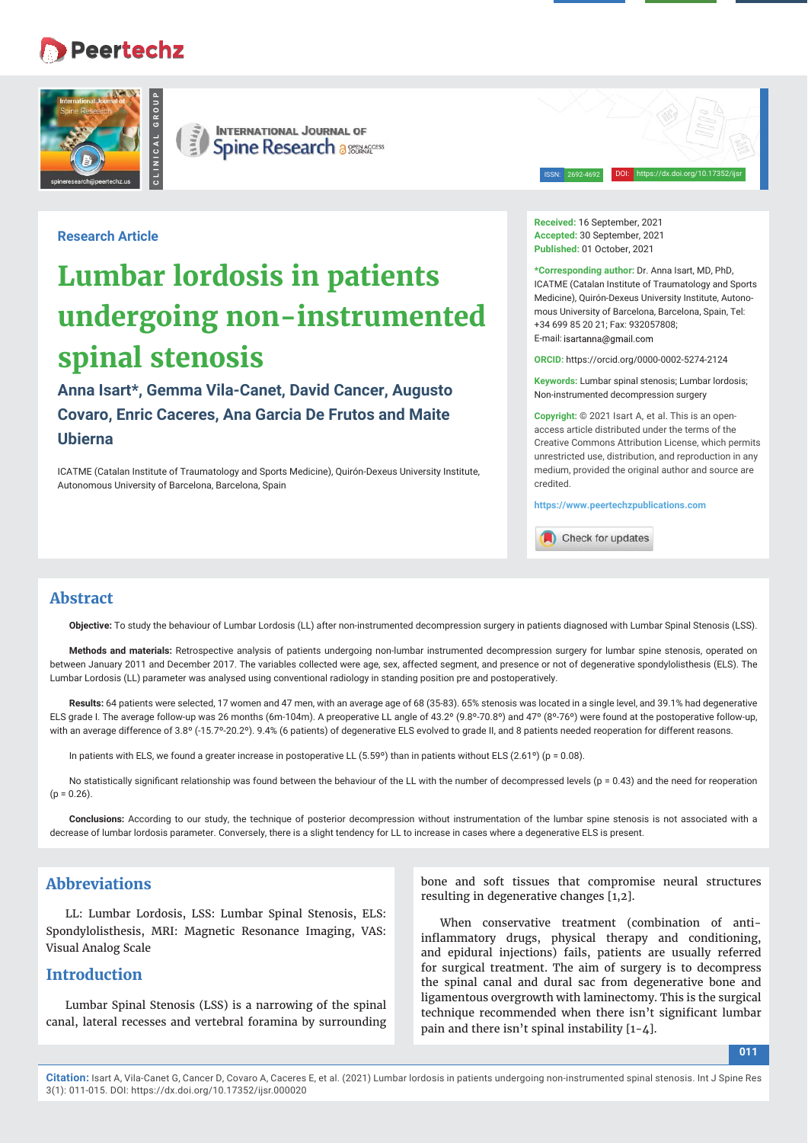# **Peertechz**





ISSN: 2692-4692 DOI: https://dx.doi.org/10.17352/ijsr

**Research Article**

# **Lumbar lordosis in patients undergoing non-instrumented spinal stenosis**

**Anna Isart\*, Gemma Vila-Canet, David Cancer, Augusto Covaro, Enric Caceres, Ana Garcia De Frutos and Maite Ubierna** 

ICATME (Catalan Institute of Traumatology and Sports Medicine), Quirón-Dexeus University Institute, Autonomous University of Barcelona, Barcelona, Spain

**Received:** 16 September, 2021 **Accepted:** 30 September, 2021 **Published:** 01 October, 2021

**\*Corresponding author:** Dr. Anna Isart, MD, PhD, ICATME (Catalan Institute of Traumatology and Sports Medicine), Quirón-Dexeus University Institute, Autonomous University of Barcelona, Barcelona, Spain, Tel: +34 699 85 20 21; Fax: 932057808; E-mail: isartanna@gmail.com

**ORCID:** https://orcid.org/0000-0002-5274-2124

**Keywords:** Lumbar spinal stenosis; Lumbar lordosis; Non-instrumented decompression surgery

**Copyright:** © 2021 Isart A, et al. This is an openaccess article distributed under the terms of the Creative Commons Attribution License, which permits unrestricted use, distribution, and reproduction in any medium, provided the original author and source are credited.

**https://www.peertechzpublications.com**

Check for updates

#### **Abstract**

**Objective:** To study the behaviour of Lumbar Lordosis (LL) after non-instrumented decompression surgery in patients diagnosed with Lumbar Spinal Stenosis (LSS).

**Methods and materials:** Retrospective analysis of patients undergoing non-lumbar instrumented decompression surgery for lumbar spine stenosis, operated on between January 2011 and December 2017. The variables collected were age, sex, affected segment, and presence or not of degenerative spondylolisthesis (ELS). The Lumbar Lordosis (LL) parameter was analysed using conventional radiology in standing position pre and postoperatively.

**Results:** 64 patients were selected, 17 women and 47 men, with an average age of 68 (35-83). 65% stenosis was located in a single level, and 39.1% had degenerative ELS grade I. The average follow-up was 26 months (6m-104m). A preoperative LL angle of 43.2º (9.8º-70.8º) and 47º (8º-76º) were found at the postoperative follow-up, with an average difference of 3.8° (-15.7°-20.2°). 9.4% (6 patients) of degenerative ELS evolved to grade II, and 8 patients needed reoperation for different reasons.

In patients with ELS, we found a greater increase in postoperative LL (5.59º) than in patients without ELS (2.61º) (p = 0.08).

No statistically significant relationship was found between the behaviour of the LL with the number of decompressed levels ( $p = 0.43$ ) and the need for reoperation  $(p = 0.26)$ .

**Conclusions:** According to our study, the technique of posterior decompression without instrumentation of the lumbar spine stenosis is not associated with a decrease of lumbar lordosis parameter. Conversely, there is a slight tendency for LL to increase in cases where a degenerative ELS is present.

## **Abbreviations**

LL: Lumbar Lordosis, LSS: Lumbar Spinal Stenosis, ELS: Spondylolisthesis, MRI: Magnetic Resonance Imaging, VAS: Visual Analog Scale

#### **Introduction**

Lumbar Spinal Stenosis (LSS) is a narrowing of the spinal canal, lateral recesses and vertebral foramina by surrounding

bone and soft tissues that compromise neural structures resulting in degenerative changes [1,2].

When conservative treatment (combination of antiinflammatory drugs, physical therapy and conditioning, and epidural injections) fails, patients are usually referred for surgical treatment. The aim of surgery is to decompress the spinal canal and dural sac from degenerative bone and ligamentous overgrowth with laminectomy. This is the surgical technique recommended when there isn't significant lumbar pain and there isn't spinal instability [1-4].

**011**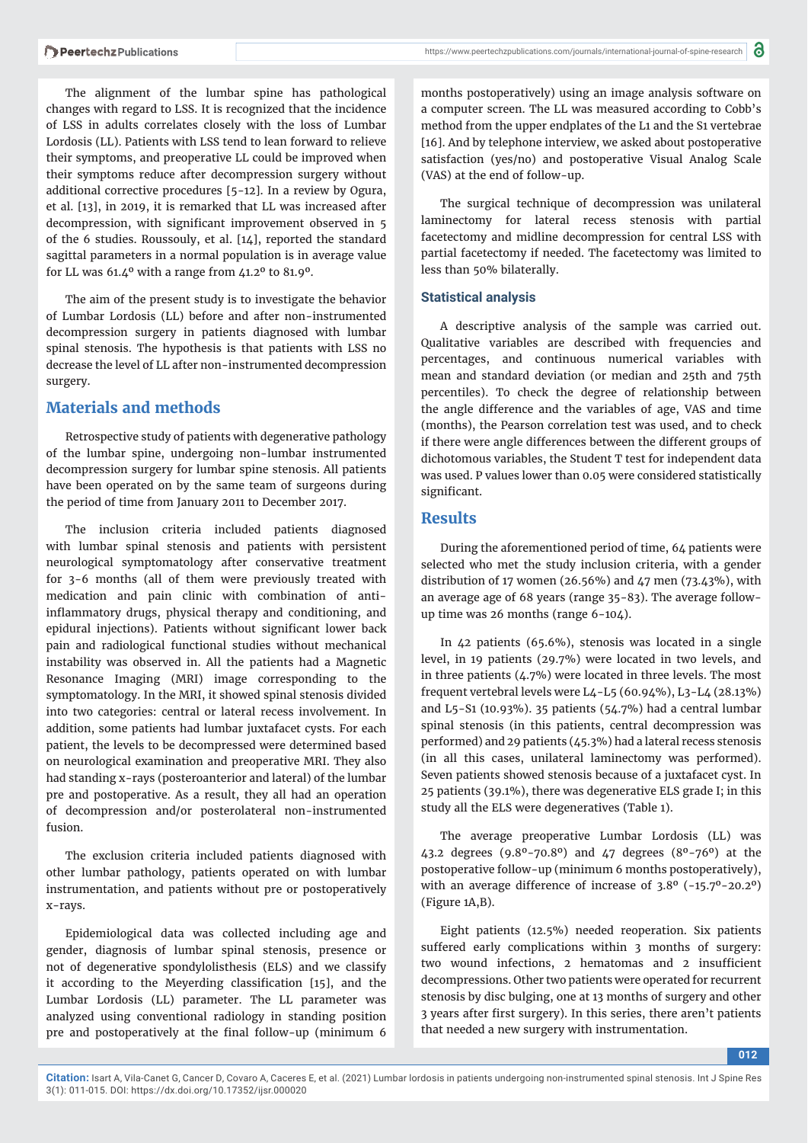The alignment of the lumbar spine has pathological changes with regard to LSS. It is recognized that the incidence of LSS in adults correlates closely with the loss of Lumbar Lordosis (LL). Patients with LSS tend to lean forward to relieve their symptoms, and preoperative LL could be improved when their symptoms reduce after decompression surgery without additional corrective procedures [5-12]. In a review by Ogura, et al. [13], in 2019, it is remarked that LL was increased after decompression, with significant improvement observed in 5 of the 6 studies. Roussouly, et al. [14], reported the standard sagittal parameters in a normal population is in average value for LL was  $61.4^{\circ}$  with a range from  $41.2^{\circ}$  to  $81.9^{\circ}$ .

The aim of the present study is to investigate the behavior of Lumbar Lordosis (LL) before and after non-instrumented decompression surgery in patients diagnosed with lumbar spinal stenosis. The hypothesis is that patients with LSS no decrease the level of LL after non-instrumented decompression surgery.

### **Materials and methods**

Retrospective study of patients with degenerative pathology of the lumbar spine, undergoing non-lumbar instrumented decompression surgery for lumbar spine stenosis. All patients have been operated on by the same team of surgeons during the period of time from January 2011 to December 2017.

The inclusion criteria included patients diagnosed with lumbar spinal stenosis and patients with persistent neurological symptomatology after conservative treatment for 3-6 months (all of them were previously treated with medication and pain clinic with combination of antiinflammatory drugs, physical therapy and conditioning, and epidural injections). Patients without significant lower back pain and radiological functional studies without mechanical instability was observed in. All the patients had a Magnetic Resonance Imaging (MRI) image corresponding to the symptomatology. In the MRI, it showed spinal stenosis divided into two categories: central or lateral recess involvement. In addition, some patients had lumbar juxtafacet cysts. For each patient, the levels to be decompressed were determined based on neurological examination and preoperative MRI. They also had standing x-rays (posteroanterior and lateral) of the lumbar pre and postoperative. As a result, they all had an operation of decompression and/or posterolateral non-instrumented fusion.

The exclusion criteria included patients diagnosed with other lumbar pathology, patients operated on with lumbar instrumentation, and patients without pre or postoperatively x-rays.

Epidemiological data was collected including age and gender, diagnosis of lumbar spinal stenosis, presence or not of degenerative spondylolisthesis (ELS) and we classify it according to the Meyerding classification [15], and the Lumbar Lordosis (LL) parameter. The LL parameter was analyzed using conventional radiology in standing position pre and postoperatively at the final follow-up (minimum 6

months postoperatively) using an image analysis software on a computer screen. The LL was measured according to Cobb's method from the upper endplates of the L1 and the S1 vertebrae [16]. And by telephone interview, we asked about postoperative satisfaction (yes/no) and postoperative Visual Analog Scale (VAS) at the end of follow-up.

The surgical technique of decompression was unilateral laminectomy for lateral recess stenosis with partial facetectomy and midline decompression for central LSS with partial facetectomy if needed. The facetectomy was limited to less than 50% bilaterally.

#### **Statistical analysis**

A descriptive analysis of the sample was carried out. Qualitative variables are described with frequencies and percentages, and continuous numerical variables with mean and standard deviation (or median and 25th and 75th percentiles). To check the degree of relationship between the angle difference and the variables of age, VAS and time (months), the Pearson correlation test was used, and to check if there were angle differences between the different groups of dichotomous variables, the Student T test for independent data was used. P values lower than 0.05 were considered statistically significant.

#### **Results**

During the aforementioned period of time, 64 patients were selected who met the study inclusion criteria, with a gender distribution of 17 women (26.56%) and 47 men (73.43%), with an average age of 68 years (range 35-83). The average followup time was 26 months (range 6-104).

In 42 patients (65.6%), stenosis was located in a single level, in 19 patients (29.7%) were located in two levels, and in three patients  $(4.7%)$  were located in three levels. The most frequent vertebral levels were L4-L5 (60.94%), L3-L4 (28.13%) and L5-S1 (10.93%). 35 patients (54.7%) had a central lumbar spinal stenosis (in this patients, central decompression was performed) and 29 patients (45.3%) had a lateral recess stenosis (in all this cases, unilateral laminectomy was performed). Seven patients showed stenosis because of a juxtafacet cyst. In 25 patients (39.1%), there was degenerative ELS grade I; in this study all the ELS were degeneratives (Table 1).

The average preoperative Lumbar Lordosis (LL) was 43.2 degrees (9.8º-70.8º) and 47 degrees (8º-76º) at the postoperative follow-up (minimum 6 months postoperatively), with an average difference of increase of 3.8º (-15.7º-20.2º) (Figure 1A,B).

Eight patients (12.5%) needed reoperation. Six patients suffered early complications within 3 months of surgery: two wound infections, 2 hematomas and 2 insufficient decompressions. Other two patients were operated for recurrent stenosis by disc bulging, one at 13 months of surgery and other 3 years after first surgery). In this series, there aren't patients that needed a new surgery with instrumentation.

**012**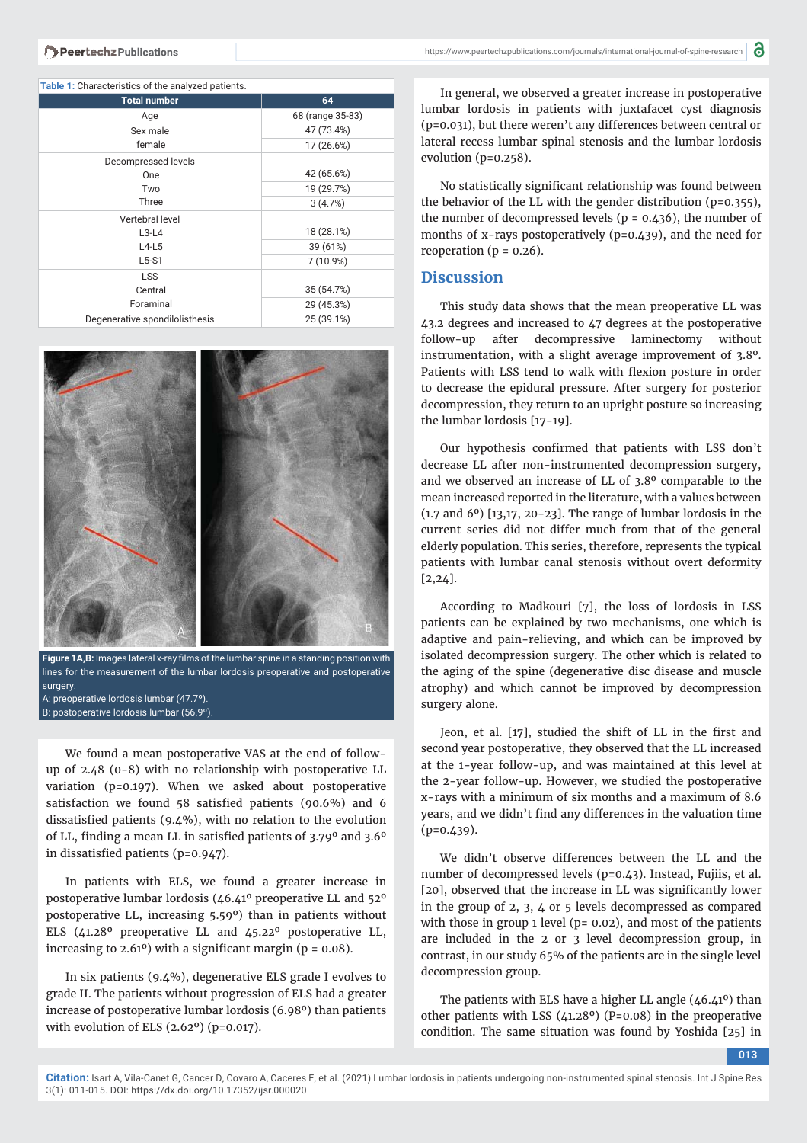| <b>Table 1:</b> Characteristics of the analyzed patients. |                  |
|-----------------------------------------------------------|------------------|
| <b>Total number</b>                                       | 64               |
| Age                                                       | 68 (range 35-83) |
| Sex male                                                  | 47 (73.4%)       |
| female                                                    | 17 (26.6%)       |
| Decompressed levels                                       |                  |
| One                                                       | 42 (65.6%)       |
| Two                                                       | 19 (29.7%)       |
| Three                                                     | 3(4.7%)          |
| Vertebral level                                           |                  |
| $L3-L4$                                                   | 18 (28.1%)       |
| $L4-L5$                                                   | 39 (61%)         |
| $L5-S1$                                                   | 7 (10.9%)        |
| <b>LSS</b>                                                |                  |
| Central                                                   | 35 (54.7%)       |
| Foraminal                                                 | 29 (45.3%)       |
| Degenerative spondilolisthesis                            | 25 (39.1%)       |



Figure 1A,B: Images lateral x-ray films of the lumbar spine in a standing position with lines for the measurement of the lumbar lordosis preoperative and postoperative surgery. A: preoperative lordosis lumbar (47.7º).

B: postoperative lordosis lumbar (56.9º).

We found a mean postoperative VAS at the end of followup of 2.48 (0-8) with no relationship with postoperative LL variation (p=0.197). When we asked about postoperative satisfaction we found  $58$  satisfied patients (90.6%) and 6 dissatisfied patients (9.4%), with no relation to the evolution of LL, finding a mean LL in satisfied patients of  $3.79^{\circ}$  and  $3.6^{\circ}$ in dissatisfied patients ( $p=0.947$ ).

In patients with ELS, we found a greater increase in postoperative lumbar lordosis (46.41º preoperative LL and 52º postoperative LL, increasing 5.59º) than in patients without ELS (41.28º preoperative LL and 45.22º postoperative LL, increasing to  $2.61^{\circ}$ ) with a significant margin ( $p = 0.08$ ).

In six patients (9.4%), degenerative ELS grade I evolves to grade II. The patients without progression of ELS had a greater increase of postoperative lumbar lordosis (6.98º) than patients with evolution of ELS (2.62º) (p=0.017).

In general, we observed a greater increase in postoperative lumbar lordosis in patients with juxtafacet cyst diagnosis (p=0.031), but there weren't any differences between central or lateral recess lumbar spinal stenosis and the lumbar lordosis evolution (p=0.258).

No statistically significant relationship was found between the behavior of the LL with the gender distribution (p=0.355), the number of decompressed levels ( $p = 0.436$ ), the number of months of x-rays postoperatively (p=0.439), and the need for reoperation ( $p = 0.26$ ).

#### **Discussion**

This study data shows that the mean preoperative LL was 43.2 degrees and increased to 47 degrees at the postoperative follow-up after decompressive laminectomy without instrumentation, with a slight average improvement of 3.8º. Patients with LSS tend to walk with flexion posture in order to decrease the epidural pressure. After surgery for posterior decompression, they return to an upright posture so increasing the lumbar lordosis [17-19].

Our hypothesis confirmed that patients with LSS don't decrease LL after non-instrumented decompression surgery, and we observed an increase of LL of 3.8º comparable to the mean increased reported in the literature, with a values between  $(1.7 \text{ and } 6^{\circ})$  [13,17, 20-23]. The range of lumbar lordosis in the current series did not differ much from that of the general elderly population. This series, therefore, represents the typical patients with lumbar canal stenosis without overt deformity [2,24].

According to Madkouri [7], the loss of lordosis in LSS patients can be explained by two mechanisms, one which is adaptive and pain-relieving, and which can be improved by isolated decompression surgery. The other which is related to the aging of the spine (degenerative disc disease and muscle atrophy) and which cannot be improved by decompression surgery alone.

Jeon, et al. [17], studied the shift of LL in the first and second year postoperative, they observed that the LL increased at the 1-year follow-up, and was maintained at this level at the 2-year follow-up. However, we studied the postoperative x-rays with a minimum of six months and a maximum of 8.6 years, and we didn't find any differences in the valuation time  $(p=0.439)$ .

We didn't observe differences between the LL and the number of decompressed levels (p=0.43). Instead, Fujiis, et al. [20], observed that the increase in LL was significantly lower in the group of 2, 3, 4 or 5 levels decompressed as compared with those in group 1 level ( $p = 0.02$ ), and most of the patients are included in the 2 or 3 level decompression group, in contrast, in our study 65% of the patients are in the single level decompression group.

The patients with ELS have a higher LL angle  $(46.41^{\circ})$  than other patients with LSS (41.28º) (P=0.08) in the preoperative condition. The same situation was found by Yoshida [25] in

**013**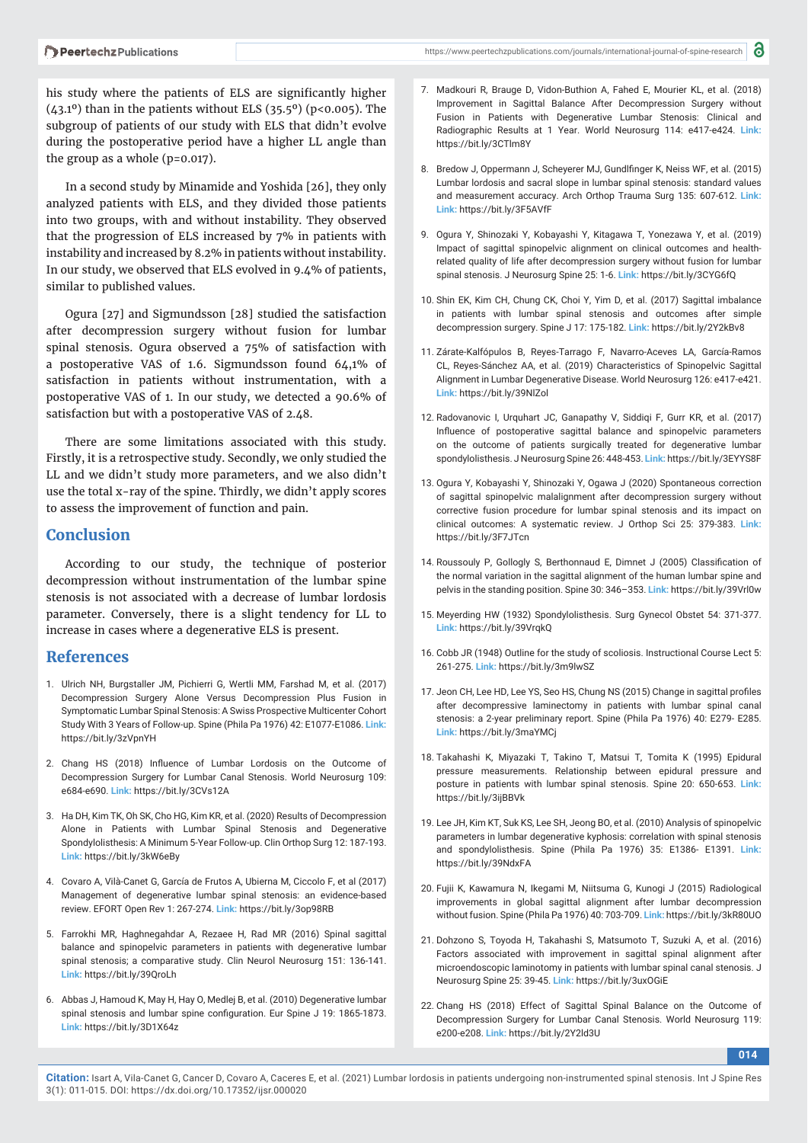his study where the patients of ELS are significantly higher  $(43.1<sup>o</sup>)$  than in the patients without ELS  $(35.5<sup>o</sup>)$  (p<0.005). The subgroup of patients of our study with ELS that didn't evolve during the postoperative period have a higher LL angle than the group as a whole  $(p=0.017)$ .

In a second study by Minamide and Yoshida [26], they only analyzed patients with ELS, and they divided those patients into two groups, with and without instability. They observed that the progression of ELS increased by 7% in patients with instability and increased by 8.2% in patients without instability. In our study, we observed that ELS evolved in 9.4% of patients, similar to published values.

Ogura [27] and Sigmundsson [28] studied the satisfaction after decompression surgery without fusion for lumbar spinal stenosis. Ogura observed a 75% of satisfaction with a postoperative VAS of 1.6. Sigmundsson found 64,1% of satisfaction in patients without instrumentation, with a postoperative VAS of 1. In our study, we detected a 90.6% of satisfaction but with a postoperative VAS of 2.48.

There are some limitations associated with this study. Firstly, it is a retrospective study. Secondly, we only studied the LL and we didn't study more parameters, and we also didn't use the total x-ray of the spine. Thirdly, we didn't apply scores to assess the improvement of function and pain.

#### **Conclusion**

According to our study, the technique of posterior decompression without instrumentation of the lumbar spine stenosis is not associated with a decrease of lumbar lordosis parameter. Conversely, there is a slight tendency for LL to increase in cases where a degenerative ELS is present.

#### **References**

- 1. Ulrich NH, Burgstaller JM, Pichierri G, Wertli MM, Farshad M, et al. (2017) Decompression Surgery Alone Versus Decompression Plus Fusion in Symptomatic Lumbar Spinal Stenosis: A Swiss Prospective Multicenter Cohort Study With 3 Years of Follow-up. Spine (Phila Pa 1976) 42: E1077-E1086. **Link:** https://bit.ly/3zVpnYH
- 2. Chang HS (2018) Influence of Lumbar Lordosis on the Outcome of Decompression Surgery for Lumbar Canal Stenosis. World Neurosurg 109: e684-e690. **Link:** https://bit.ly/3CVs12A
- 3. Ha DH, Kim TK, Oh SK, Cho HG, Kim KR, et al. (2020) Results of Decompression Alone in Patients with Lumbar Spinal Stenosis and Degenerative Spondylolisthesis: A Minimum 5-Year Follow-up. Clin Orthop Surg 12: 187-193. **Link:** https://bit.ly/3kW6eBy
- 4. Covaro A, Vilà-Canet G, García de Frutos A, Ubierna M, Ciccolo F, et al (2017) Management of degenerative lumbar spinal stenosis: an evidence-based review. EFORT Open Rev 1: 267-274. **Link:** https://bit.ly/3op98RB
- 5. Farrokhi MR, Haghnegahdar A, Rezaee H, Rad MR (2016) Spinal sagittal balance and spinopelvic parameters in patients with degenerative lumbar spinal stenosis; a comparative study. Clin Neurol Neurosurg 151: 136-141. **Link:** https://bit.ly/39QroLh
- 6. Abbas J, Hamoud K, May H, Hay O, Medlej B, et al. (2010) Degenerative lumbar spinal stenosis and lumbar spine configuration. Eur Spine J 19: 1865-1873. **Link:** https://bit.ly/3D1X64z
- 7. Madkouri R, Brauge D, Vidon-Buthion A, Fahed E, Mourier KL, et al. (2018) Improvement in Sagittal Balance After Decompression Surgery without Fusion in Patients with Degenerative Lumbar Stenosis: Clinical and Radiographic Results at 1 Year. World Neurosurg 114: e417-e424. **Link:** https://bit.ly/3CTlm8Y
- 8. Bredow J, Oppermann J, Scheyerer MJ, Gundlfinger K, Neiss WF, et al. (2015) Lumbar lordosis and sacral slope in lumbar spinal stenosis: standard values and measurement accuracy. Arch Orthop Trauma Surg 135: 607-612. **Link: Link:** https://bit.ly/3F5AVfF
- 9. Ogura Y, Shinozaki Y, Kobayashi Y, Kitagawa T, Yonezawa Y, et al. (2019) Impact of sagittal spinopelvic alignment on clinical outcomes and healthrelated quality of life after decompression surgery without fusion for lumbar spinal stenosis. J Neurosurg Spine 25: 1-6. **Link:** https://bit.ly/3CYG6fQ
- 10. Shin EK, Kim CH, Chung CK, Choi Y, Yim D, et al. (2017) Sagittal imbalance in patients with lumbar spinal stenosis and outcomes after simple decompression surgery. Spine J 17: 175-182. **Link:** https://bit.ly/2Y2kBv8
- 11. Zárate-Kalfópulos B, Reyes-Tarrago F, Navarro-Aceves LA, García-Ramos CL, Reyes-Sánchez AA, et al. (2019) Characteristics of Spinopelvic Sagittal Alignment in Lumbar Degenerative Disease. World Neurosurg 126: e417-e421. **Link:** https://bit.ly/39NlZol
- 12. Radovanovic I, Urquhart JC, Ganapathy V, Siddiqi F, Gurr KR, et al. (2017) Influence of postoperative sagittal balance and spinopelvic parameters on the outcome of patients surgically treated for degenerative lumbar spondylolisthesis. J Neurosurg Spine 26: 448-453. **Link:** https://bit.ly/3EYYS8F
- 13. Ogura Y, Kobayashi Y, Shinozaki Y, Ogawa J (2020) Spontaneous correction of sagittal spinopelvic malalignment after decompression surgery without corrective fusion procedure for lumbar spinal stenosis and its impact on clinical outcomes: A systematic review. J Orthop Sci 25: 379-383. **Link:** https://bit.ly/3F7JTcn
- 14. Roussouly P, Gollogly S, Berthonnaud E, Dimnet J (2005) Classification of the normal variation in the sagittal alignment of the human lumbar spine and pelvis in the standing position. Spine 30: 346–353. **Link:** https://bit.ly/39Vrl0w
- 15. Meyerding HW (1932) Spondylolisthesis. Surg Gynecol Obstet 54: 371-377. **Link:** https://bit.ly/39VrqkQ
- 16. Cobb JR (1948) Outline for the study of scoliosis. Instructional Course Lect 5: 261-275. **Link:** https://bit.ly/3m9lwSZ
- 17. Jeon CH, Lee HD, Lee YS, Seo HS, Chung NS (2015) Change in sagittal profiles after decompressive laminectomy in patients with lumbar spinal canal stenosis: a 2-year preliminary report. Spine (Phila Pa 1976) 40: E279- E285. **Link:** https://bit.ly/3maYMCj
- 18. Takahashi K, Miyazaki T, Takino T, Matsui T, Tomita K (1995) Epidural pressure measurements. Relationship between epidural pressure and posture in patients with lumbar spinal stenosis. Spine 20: 650-653. **Link:**  https://bit.ly/3ijBBVk
- 19. Lee JH, Kim KT, Suk KS, Lee SH, Jeong BO, et al. (2010) Analysis of spinopelvic parameters in lumbar degenerative kyphosis: correlation with spinal stenosis and spondylolisthesis. Spine (Phila Pa 1976) 35: E1386- E1391. **Link:** https://bit.ly/39NdxFA
- 20. Fujii K, Kawamura N, Ikegami M, Niitsuma G, Kunogi J (2015) Radiological improvements in global sagittal alignment after lumbar decompression without fusion. Spine (Phila Pa 1976) 40: 703-709. **Link:** https://bit.ly/3kR80UO
- 21. Dohzono S, Toyoda H, Takahashi S, Matsumoto T, Suzuki A, et al. (2016) Factors associated with improvement in sagittal spinal alignment after microendoscopic laminotomy in patients with lumbar spinal canal stenosis. J Neurosurg Spine 25: 39-45. **Link:** https://bit.ly/3uxOGiE
- 22. Chang HS (2018) Effect of Sagittal Spinal Balance on the Outcome of Decompression Surgery for Lumbar Canal Stenosis. World Neurosurg 119: e200-e208. **Link:** https://bit.ly/2Y2ld3U

**014**